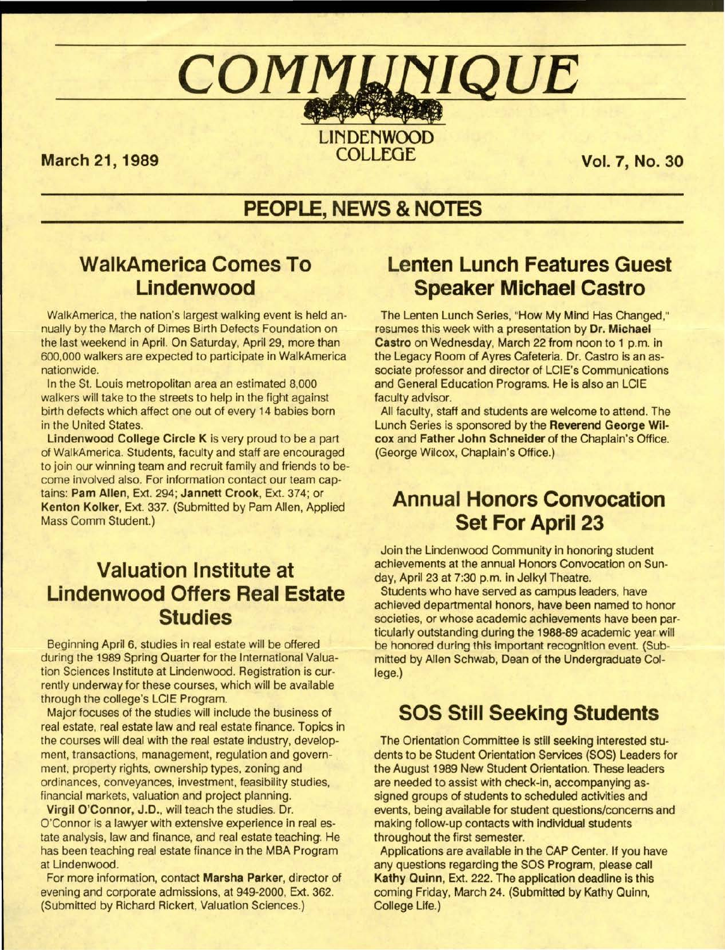# $\bf \textit{COMMUNIQUE}$

**March 21, 1989** 

LINDENWOOD<br>COLLEGE

**Vol. 7, No. 30** 

## PEOPLE, NEWS & NOTES

## **WalkAmerica Comes To** Lindenwood

WalkAmerica, the nation's largest walking event is held annually by the March of Dimes Birth Defects Foundation on the last weekend in April. On Saturday, April 29, more than 600,000 walkers are expected to participate in WalkAmerica nationwide.

In the St. Louis metropolitan area an estimated 8,000 walkers will take to the streets to help in the fight against birth defects which affect one out of every 14 babies born in the United States.

**Lindenwood College Circle K** is very proud to be a part of WalkAmerica. Students, faculty and staff are encouraged to join our winning team and recruit family and friends to become involved also. For information contact our team captains: **Pam Allen,** Ext. 294; **Jannett Crook,** Ext. 374; or **Kenton Kolker,** Ext. 337. (Submitted by Pam Allen, Applied Mass Comm Student.)

## . **Valuation Institute at Lindenwood Offers Real Estate Studies**

Beginning April 6, studies in real estate will be offered during the 1989 Spring Quarter for the International Valuation Sciences Institute at Lindenwood. Registration is currently underway for these courses, which will be available through the college's LCIE Program.

Major focuses of the studies will include the business of real estate, real estate law and real estate finance. Topics in the courses will deal with the real estate industry, development, transactions, management, regulation and government, property rights, ownership types, zoning and ordinances, conveyances, investment, feasibility studies, financial markets, valuation and project planning.

Virgil O'Connor, J.D., will teach the studies. Dr. O'Connor is a lawyer with extensive experience in real estate analysis, law and finance, and real estate teaching. He has been teaching real estate finance in the MBA Program at Lindenwood.

For more information, contact **Marsha Parker,** director of evening and corporate admissions, at 949-2000, Ext. 362. (Submitted by Richard Rickert, Valuation Sciences.)

## **Lenten Lunch Features Guest Speaker Michael Castro**

The Lenten Lunch Series, "How My Mind Has Changed," resumes this week with a presentation by **Dr. Michael Castro** on Wednesday, March 22 from noon to 1 p.m. in the Legacy Room of Ayres Cafeteria. Dr. Castro is an associate professor and director of LCIE's Communications and General Education Programs. He is also an LCIE faculty advisor.

All faculty, staff and students are welcome to attend. The Lunch Series is sponsored by the **Reverend George Wilcox** and **Father John Schneider** of the Chaplain's Office. (George Wilcox, Chaplain's Office.)

### <sup>t</sup>*l* ? ~'. ' .. *:...i*  **Annual Honors Convocation Set For April 23**

Join the Lindenwood Community in honoring student achievements at the annual Honors Convocation on Sunday, April 23 at 7:30 p.m. in Jelkyl Theatre.

Students who have served as campus leaders, have achieved departmental honors, have been named to honor societies, or whose academic achievements have been particularly outstanding during the 1988-89 academic year will be honored during this important recognition event. (Submitted by Allen Schwab, Dean of the Undergraduate College.)

## **SOS Still Seeking Students**

The Orientation Committee is still seeking interested students to be Student Orientation Services (SOS) Leaders for the August 1989 New Student Orientation. These leaders are needed to assist with check-in, accompanying assigned groups of students to scheduled activities and events, being available for student questions/concerns and making follow-up contacts **with** individual students throughout the first semester.

Applications are available in the CAP Center. If you have any questions regarding the SOS Program, please call **Kathy** Quinn, Ext. 222. The application deadline is this coming Friday, March 24. (Submitted by Kathy Quinn, College Life.)